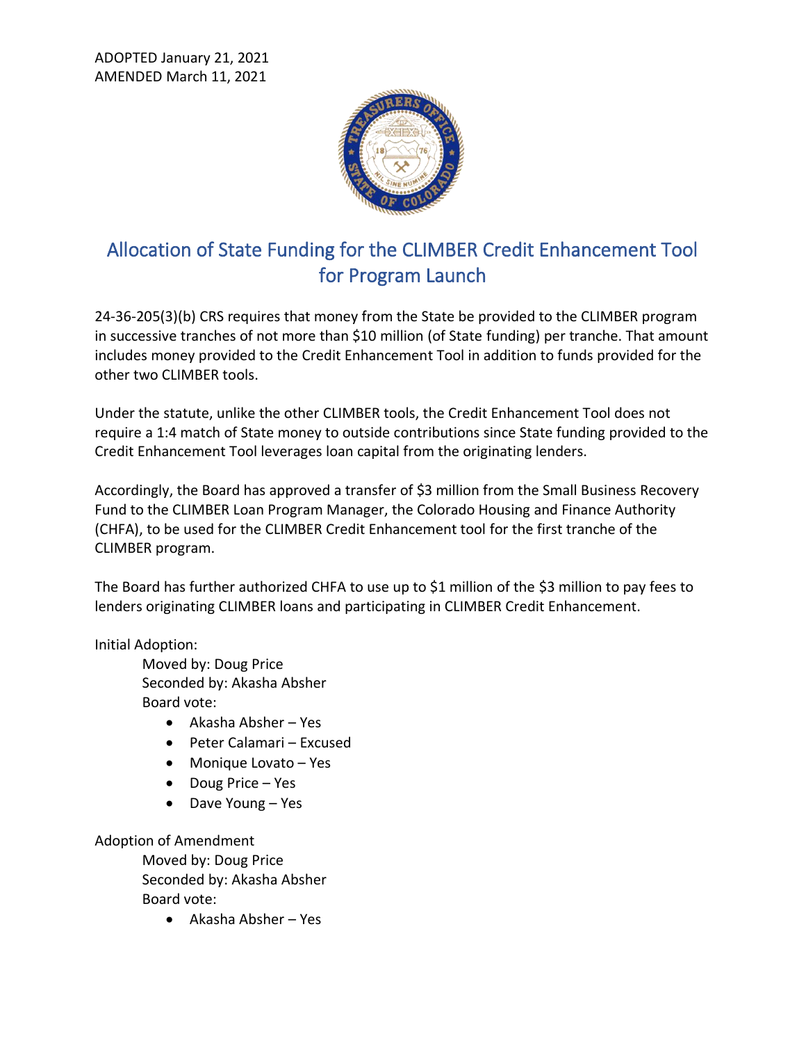ADOPTED January 21, 2021 AMENDED March 11, 2021



## Allocation of State Funding for the CLIMBER Credit Enhancement Tool for Program Launch

24-36-205(3)(b) CRS requires that money from the State be provided to the CLIMBER program in successive tranches of not more than \$10 million (of State funding) per tranche. That amount includes money provided to the Credit Enhancement Tool in addition to funds provided for the other two CLIMBER tools.

Under the statute, unlike the other CLIMBER tools, the Credit Enhancement Tool does not require a 1:4 match of State money to outside contributions since State funding provided to the Credit Enhancement Tool leverages loan capital from the originating lenders.

Accordingly, the Board has approved a transfer of \$3 million from the Small Business Recovery Fund to the CLIMBER Loan Program Manager, the Colorado Housing and Finance Authority (CHFA), to be used for the CLIMBER Credit Enhancement tool for the first tranche of the CLIMBER program.

The Board has further authorized CHFA to use up to \$1 million of the \$3 million to pay fees to lenders originating CLIMBER loans and participating in CLIMBER Credit Enhancement.

Initial Adoption:

Moved by: Doug Price Seconded by: Akasha Absher Board vote:

- Akasha Absher Yes
- Peter Calamari Excused
- Monique Lovato Yes
- Doug Price Yes
- Dave Young Yes

Adoption of Amendment Moved by: Doug Price Seconded by: Akasha Absher Board vote:

• Akasha Absher – Yes